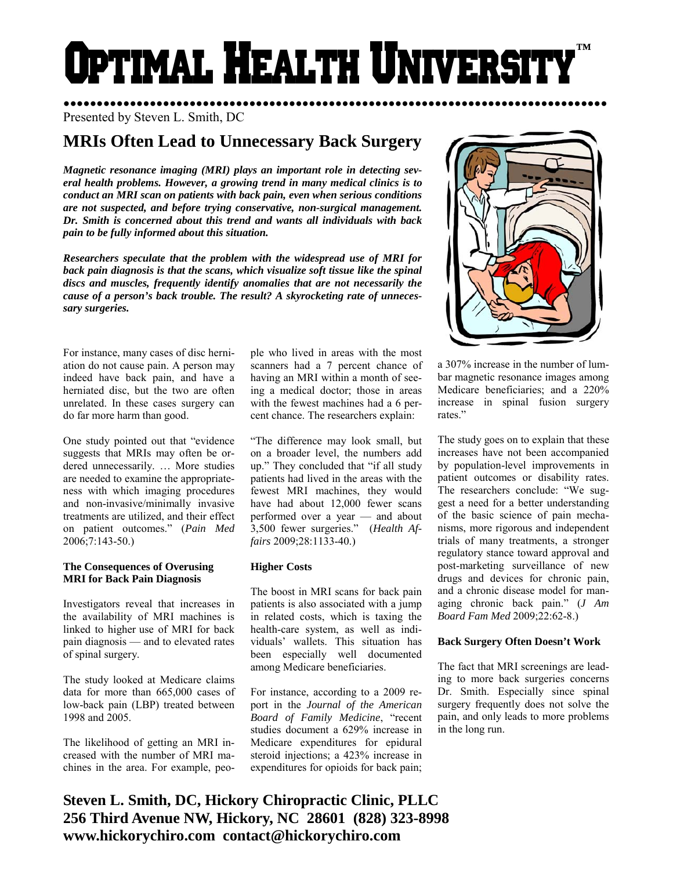# **O**PTIMAL HEALTH UNIVERSIT **™**

●●●●●●●●●●●●●●●●●●●●●●●●●●●●●●●●●●●●●●●●●●●●●●●●●●●●●●●●●●●●●●●●●●●●●●●●●●●●●●●●●● Presented by Steven L. Smith, DC

## **MRIs Often Lead to Unnecessary Back Surgery**

*Magnetic resonance imaging (MRI) plays an important role in detecting several health problems. However, a growing trend in many medical clinics is to conduct an MRI scan on patients with back pain, even when serious conditions are not suspected, and before trying conservative, non-surgical management. Dr. Smith is concerned about this trend and wants all individuals with back pain to be fully informed about this situation.* 

*Researchers speculate that the problem with the widespread use of MRI for*  back pain diagnosis is that the scans, which visualize soft tissue like the spinal *discs and muscles, frequently identify anomalies that are not necessarily the cause of a person's back trouble. The result? A skyrocketing rate of unnecessary surgeries.* 

For instance, many cases of disc herniation do not cause pain. A person may indeed have back pain, and have a herniated disc, but the two are often unrelated. In these cases surgery can do far more harm than good.

One study pointed out that "evidence suggests that MRIs may often be ordered unnecessarily. … More studies are needed to examine the appropriateness with which imaging procedures and non-invasive/minimally invasive treatments are utilized, and their effect on patient outcomes." (*Pain Med*  2006;7:143-50.)

#### **The Consequences of Overusing MRI for Back Pain Diagnosis**

Investigators reveal that increases in the availability of MRI machines is linked to higher use of MRI for back pain diagnosis — and to elevated rates of spinal surgery.

The study looked at Medicare claims data for more than 665,000 cases of low-back pain (LBP) treated between 1998 and 2005.

The likelihood of getting an MRI increased with the number of MRI machines in the area. For example, people who lived in areas with the most scanners had a 7 percent chance of having an MRI within a month of seeing a medical doctor; those in areas with the fewest machines had a 6 percent chance. The researchers explain:

"The difference may look small, but on a broader level, the numbers add up." They concluded that "if all study patients had lived in the areas with the fewest MRI machines, they would have had about 12,000 fewer scans performed over a year — and about 3,500 fewer surgeries." (*Health Affairs* 2009;28:1133-40.)

#### **Higher Costs**

The boost in MRI scans for back pain patients is also associated with a jump in related costs, which is taxing the health-care system, as well as individuals' wallets. This situation has been especially well documented among Medicare beneficiaries.

For instance, according to a 2009 report in the *Journal of the American Board of Family Medicine*, "recent studies document a 629% increase in Medicare expenditures for epidural steroid injections; a 423% increase in expenditures for opioids for back pain;



a 307% increase in the number of lumbar magnetic resonance images among Medicare beneficiaries; and a 220% increase in spinal fusion surgery rates."

The study goes on to explain that these increases have not been accompanied by population-level improvements in patient outcomes or disability rates. The researchers conclude: "We suggest a need for a better understanding of the basic science of pain mechanisms, more rigorous and independent trials of many treatments, a stronger regulatory stance toward approval and post-marketing surveillance of new drugs and devices for chronic pain, and a chronic disease model for managing chronic back pain." (*J Am Board Fam Med* 2009;22:62-8.)

### **Back Surgery Often Doesn't Work**

The fact that MRI screenings are leading to more back surgeries concerns Dr. Smith. Especially since spinal surgery frequently does not solve the pain, and only leads to more problems in the long run.

**Steven L. Smith, DC, Hickory Chiropractic Clinic, PLLC 256 Third Avenue NW, Hickory, NC 28601 (828) 323-8998 www.hickorychiro.com contact@hickorychiro.com**